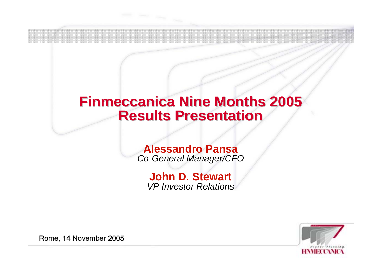# **Finmeccanica Finmeccanica Nine Months 2005 Results Results Presentation Presentation**

## **Alessandro Pansa** *Co-General Manager/CFO*

# **John D. Stewart** *VP Investor Relations*



Rome, 14 November 2005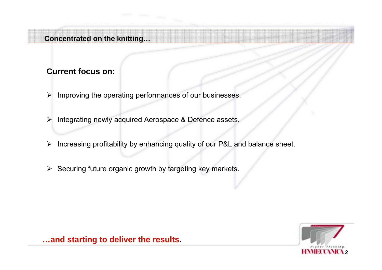#### **Concentrated on the knitting…**

## **Current focus on:**

- ¾ Improving the operating performances of our businesses.
- ¾ Integrating newly acquired Aerospace & Defence assets.
- ¾ Increasing profitability by enhancing quality of our P&L and balance sheet.
- $\triangleright$  Securing future organic growth by targeting key markets.



**…and starting to deliver the results.**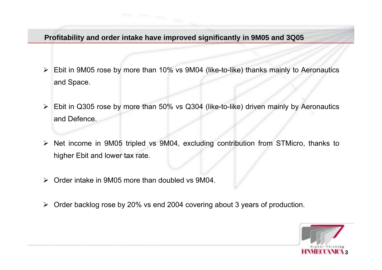**Profitability and order intake have improved significantly in 9M05 and 3Q05**

- ¾ Ebit in 9M05 rose by more than 10% vs 9M04 (like-to-like) thanks mainly to Aeronautics and Space.
- ¾ Ebit in Q305 rose by more than 50% vs Q304 (like-to-like) driven mainly by Aeronautics and Defence.
- ¾ Net income in 9M05 tripled vs 9M04, excluding contribution from STMicro, thanks to higher Ebit and lower tax rate.
- $\blacktriangleright$ Order intake in 9M05 more than doubled vs 9M04.
- $\blacktriangleright$ Order backlog rose by 20% vs end 2004 covering about 3 years of production.

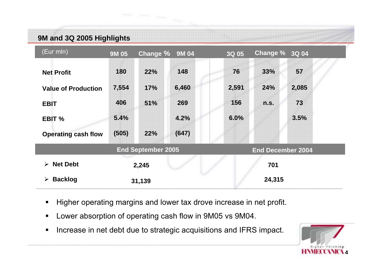# **9M and 3Q 2005 Highlights**



- Higher operating margins and lower tax drove increase in net profit.
- $\blacksquare$ Lower absorption of operating cash flow in 9M05 vs 9M04.
- $\blacksquare$ Increase in net debt due to strategic acquisitions and IFRS impact.

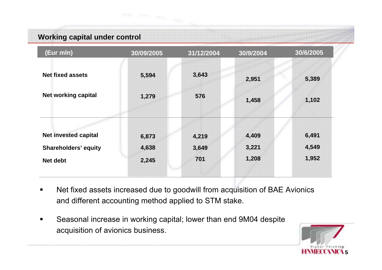# **Working capital under control**



- $\blacksquare$  Net fixed assets increased due to goodwill from acquisition of BAE Avionics and different accounting method applied to STM stake.
- $\blacksquare$  Seasonal increase in working capital; lower than end 9M04 despite acquisition of avionics business.

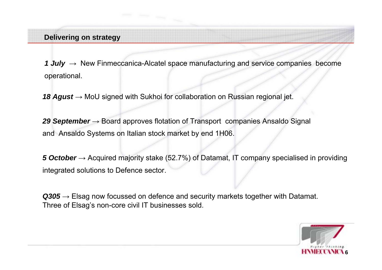#### **Delivering on strategy**

*1 July* <sup>→</sup> New Finmeccanica-Alcatel space manufacturing and service companies become operational.

18 Agust → MoU signed with Sukhoi for collaboration on Russian regional jet.

29 September → Board approves flotation of Transport companies Ansaldo Signal and Ansaldo Systems on Italian stock market by end 1H06.

**5** *October* → Acquired majority stake (52.7%) of Datamat, IT company specialised in providing integrated solutions to Defence sector.

**Q305** → Elsag now focussed on defence and security markets together with Datamat. Three of Elsag's non-core civil IT businesses sold.

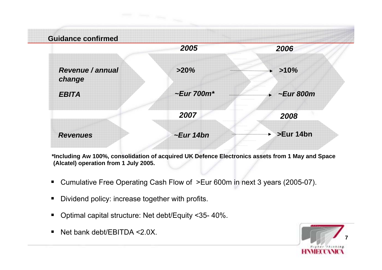

\*Including Aw 100%, consolidation of acquired UK Defence Electronics assets from 1 May and Space **(Alcatel) operation from 1 July 2005.**

- Cumulative Free Operating Cash Flow of >Eur 600m in next 3 years (2005-07).
- $\blacksquare$ Dividend policy: increase together with profits.
- $\blacksquare$ Optimal capital structure: Net debt/Equity <35- 40%.
- $\blacksquare$ Net bank debt/EBITDA <2.0X.

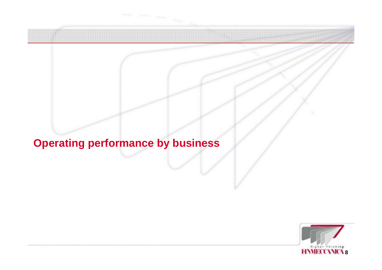# **Operating performance by business**

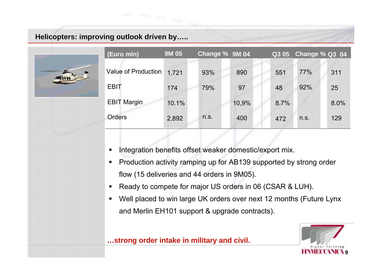# **Helicopters: improving outlook driven by…..**



- $\blacksquare$ Integration benefits offset weaker domestic/export mix.
- $\blacksquare$  Production activity ramping up for AB139 supported by strong order flow (15 deliveries and 44 orders in 9M05).
- $\blacksquare$ Ready to compete for major US orders in 06 (CSAR & LUH).
- $\blacksquare$  Well placed to win large UK orders over next 12 months (Future Lynx and Merlin EH101 support & upgrade contracts).

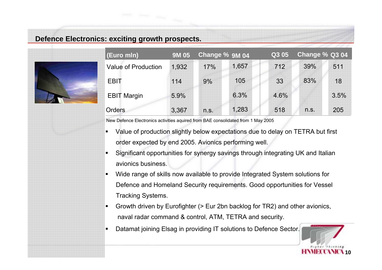### **Defence Electronics: exciting growth prospects.**

■

■

| (Euro mln)                 | <b>9M05</b> | Change % 9M 04 |       | Q3 05 | Change % Q3 04 |      |
|----------------------------|-------------|----------------|-------|-------|----------------|------|
| <b>Value of Production</b> | 1,932       | 17%            | 1,657 | 712   | 39%            | 511  |
| <b>EBIT</b>                | 114         | 9%             | 105   | 33    | 83%            | 18   |
| <b>EBIT Margin</b>         | 5.9%        |                | 6.3%  | 4.6%  |                | 3.5% |
| <b>Orders</b>              | 3,367       | n.S.           | 1,283 | 518   | n.S.           | 205  |

New Defence Electronics activities aquired from BAE consolidated from 1 May 2005 -

- Value of production slightly below expectations due to delay on TETRA but first order expected by end 2005. Avionics performing well.
- Significant opportunities for synergy savings through integrating UK and Italian avionics business.
- Wide range of skills now available to provide Integrated System solutions for Defence and Homeland Security requirements. Good opportunities for Vessel Tracking Systems.
- Growth driven by Eurofighter (> Eur 2bn backlog for TR2) and other avionics, naval radar command & control, ATM, TETRA and security.
- Datamat joining Elsag in providing IT solutions to Defence Sector.

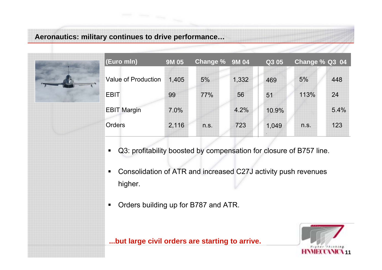## **Aeronautics: military continues to drive performance…**

| (Euro mln)                 | <b>9M 05</b> | Change % 9M 04 |       | Q3 05 | Change % Q3 04 |      |
|----------------------------|--------------|----------------|-------|-------|----------------|------|
| <b>Value of Production</b> | 1,405        | 5%             | 1,332 | 469   | 5%             | 448  |
| <b>EBIT</b>                | 99           | 77%            | 56    | 51    | 113%           | 24   |
| <b>EBIT Margin</b>         | 7.0%         |                | 4.2%  | 10.9% |                | 5.4% |
| <b>Orders</b>              | 2,116        | n.S.           | 723   | 1,049 | n.S.           | 123  |

- Q3: profitability boosted by compensation for closure of B757 line.  $\blacksquare$
- $\blacksquare$  Consolidation of ATR and increased C27J activity push revenues higher.
- $\blacksquare$ Orders building up for B787 and ATR.



#### **...but large civil orders are starting to arrive.**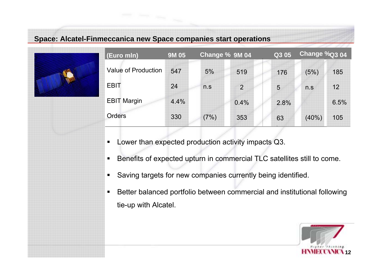## **Space: Alcatel-Finmeccanica new Space companies start operations**

| (Euro mln)                 | <b>9M 05</b> | Change % 9M 04 |                | Q3 05 | Change %Q3 04 |      |
|----------------------------|--------------|----------------|----------------|-------|---------------|------|
| <b>Value of Production</b> | 547          | 5%             | 519            | 176   | (5%)          | 185  |
| <b>EBIT</b>                | 24           | n.S            | $\overline{2}$ | 5     | n.S           | 12   |
| <b>EBIT Margin</b>         | 4.4%         |                | 0.4%           | 2.8%  |               | 6.5% |
| <b>Orders</b>              | 330          | (7%)           | 353            | 63    | (40%          | 105  |

- Lower than expected production activity impacts Q3.
- Benefits of expected upturn in commercial TLC satellites still to come.
- п Saving targets for new companies currently being identified.
- $\blacksquare$  Better balanced portfolio between commercial and institutional following tie-up with Alcatel.

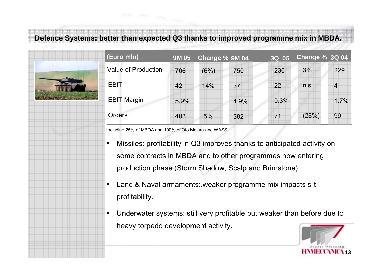**Defence Systems: better than expected Q3 thanks to improved programme mix in MBDA.**



Including 25% of MBDA and 100% of Oto Melara and WASS

■

■

- Missiles: profitability in Q3 improves thanks to anticipated activity on some contracts in MBDA and to other programmes now entering production phase (Storm Shadow, Scalp and Brimstone).
- Land & Naval armaments:.weaker programme mix impacts s-t profitability.
- Underwater systems: still very profitable but weaker than before due to heavy torpedo development activity.

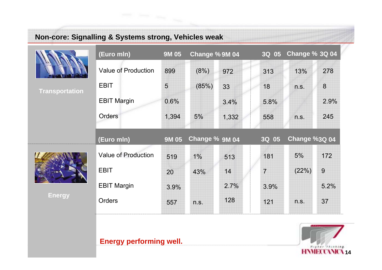



#### **Energy performing well.**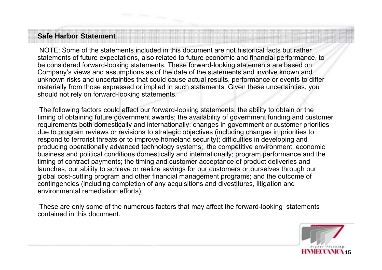## **Safe Harbor Statement**

NOTE: Some of the statements included in this document are not historical facts but rather statements of future expectations, also related to future economic and financial performance, to be considered forward-looking statements. These forward-looking statements are based on Company's views and assumptions as of the date of the statements and involve known and unknown risks and uncertainties that could cause actual results, performance or events to differ materially from those expressed or implied in such statements. Given these uncertainties, you should not rely on forward-looking statements.

The following factors could affect our forward-looking statements: the ability to obtain or the timing of obtaining future government awards; the availability of government funding and customer requirements both domestically and internationally; changes in government or customer priorities due to program reviews or revisions to strategic objectives (including changes in priorities to respond to terrorist threats or to improve homeland security); difficulties in developing and producing operationally advanced technology systems; the competitive environment; economic business and political conditions domestically and internationally; program performance and the timing of contract payments; the timing and customer acceptance of product deliveries and launches; our ability to achieve or realize savings for our customers or ourselves through our global cost-cutting program and other financial management programs; and the outcome of contingencies (including completion of any acquisitions and divestitures, litigation and environmental remediation efforts).

These are only some of the numerous factors that may affect the forward-looking statements contained in this document.